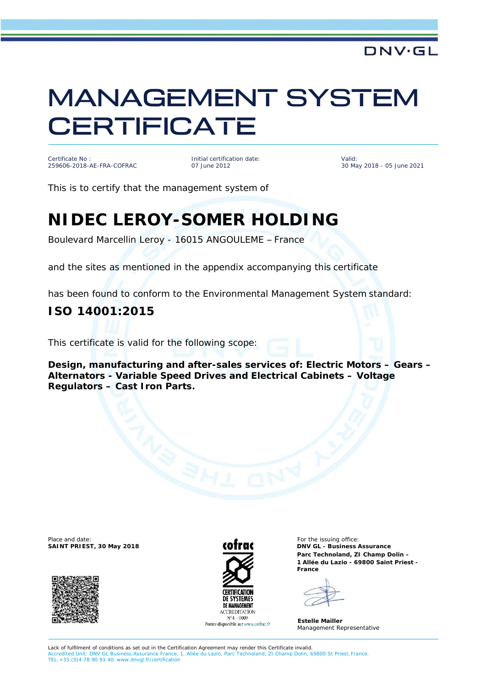# MANAGEMENT SYSTEM **CERTIFICATE**

Certificate No : 259606-2018-AE-FRA-COFRAC Initial certification date: 07 June 2012

Valid: 30 May 2018 - 05 June 2021

DNV·GL

This is to certify that the management system of

## **NIDEC LEROY-SOMER HOLDING**

Boulevard Marcellin Leroy - 16015 ANGOULEME – France

and the sites as mentioned in the appendix accompanying this certificate

has been found to conform to the Environmental Management System standard:

#### **ISO 14001:2015**

This certificate is valid for the following scope:

**Design, manufacturing and after-sales services of: Electric Motors – Gears – Alternators - Variable Speed Drives and Electrical Cabinets – Voltage Regulators – Cast Iron Parts.**

Place and date: For the issuing office:  $\mathbf{f}$ 





Portée disponible sur www.cofrac.fr

**SAINT PRIEST, 30 May 2018 DNV GL - Business Assurance Parc Technoland, ZI Champ Dolin – 1 Allée du Lazio - 69800 Saint Priest - France**

**Estelle Mailler** Management Representative

Lack of fulfilment of conditions as set out in the Certification Agreement may render this Certificate invalid. Accredited Unit: DNV GL Business Assurance France, 1, Allée du Lazio, Parc Technoland, ZI Champ Dolin, 69800 St Priest,France. TEL:+33 (0)4 78 90 91 40. [www.dnvgl.fr/certification](http://www.dnvgl.fr/certification)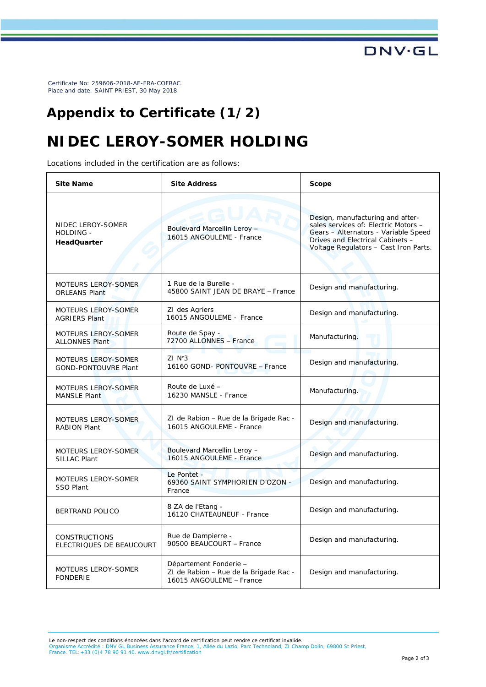Certificate No: 259606-2018-AE-FRA-COFRAC Place and date: SAINT PRIEST, 30 May 2018

#### **Appendix to Certificate (1/2)**

### **NIDEC LEROY-SOMER HOLDING**

Locations included in the certification are as follows:

| <b>Site Name</b>                                     | <b>Site Address</b>                                                                          | Scope                                                                                                                                                                                         |
|------------------------------------------------------|----------------------------------------------------------------------------------------------|-----------------------------------------------------------------------------------------------------------------------------------------------------------------------------------------------|
| NIDEC LEROY-SOMER<br>HOLDING -<br><b>HeadQuarter</b> | AUAR<br>Boulevard Marcellin Leroy -<br>16015 ANGOULEME - France                              | Design, manufacturing and after-<br>sales services of: Electric Motors -<br>Gears - Alternators - Variable Speed<br>Drives and Electrical Cabinets -<br>Voltage Regulators - Cast Iron Parts. |
| MOTEURS LEROY-SOMER<br><b>ORLEANS Plant</b>          | 1 Rue de la Burelle -<br>45800 SAINT JEAN DE BRAYE - France                                  | Design and manufacturing.                                                                                                                                                                     |
| <b>MOTEURS LEROY-SOMER</b><br><b>AGRIERS Plant</b>   | ZI des Agriers<br>16015 ANGOULEME - France                                                   | Design and manufacturing.                                                                                                                                                                     |
| <b>MOTEURS LEROY-SOMER</b><br><b>ALLONNES Plant</b>  | Route de Spay -<br>72700 ALLONNES - France                                                   | Manufacturing.                                                                                                                                                                                |
| MOTEURS LEROY-SOMER<br><b>GOND-PONTOUVRE Plant</b>   | $ZI N^3$<br>16160 GOND- PONTOUVRE - France                                                   | Design and manufacturing.                                                                                                                                                                     |
| MOTEURS LEROY-SOMER<br>MANSLE Plant                  | Route de Luxé –<br>16230 MANSLE - France                                                     | Manufacturing.                                                                                                                                                                                |
| MOTEURS LEROY-SOMER<br><b>RABION Plant</b>           | ZI de Rabion – Rue de la Brigade Rac -<br>16015 ANGOULEME - France                           | Design and manufacturing.                                                                                                                                                                     |
| MOTEURS LEROY-SOMER<br>SILLAC Plant                  | Boulevard Marcellin Leroy -<br>16015 ANGOULEME - France                                      | Design and manufacturing.                                                                                                                                                                     |
| <b>MOTEURS LEROY-SOMER</b><br><b>SSO Plant</b>       | Le Pontet -<br>69360 SAINT SYMPHORIEN D'OZON -<br>France                                     | Design and manufacturing.                                                                                                                                                                     |
| <b>BERTRAND POLICO</b>                               | 8 ZA de l'Etang -<br>16120 CHATEAUNEUF - France                                              | Design and manufacturing.                                                                                                                                                                     |
| <b>CONSTRUCTIONS</b><br>ELECTRIQUES DE BEAUCOURT     | Rue de Dampierre -<br>90500 BEAUCOURT - France                                               | Design and manufacturing.                                                                                                                                                                     |
| MOTEURS LEROY-SOMER<br><b>FONDERIE</b>               | Département Fonderie –<br>ZI de Rabion - Rue de la Brigade Rac -<br>16015 ANGOULEME - France | Design and manufacturing.                                                                                                                                                                     |

Le non-respect des conditions énoncées dans l'accord de certification peut rendre ce certificat invalide. Organisme Accrédité : DNV GL Business Assurance France, 1, Allée du Lazio, Parc Technoland, ZI Champ Dolin, 69800 St Priest, France. TEL:+33 (0)4 78 90 91 40. [www.dnvgl.fr/certification](http://www.dnvgl.fr/certification)

**DNV·GL**